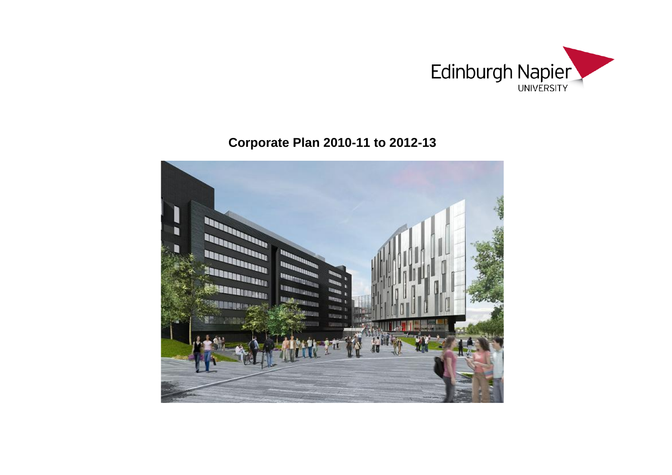

# **Corporate Plan 2010-11 to 2012-13**

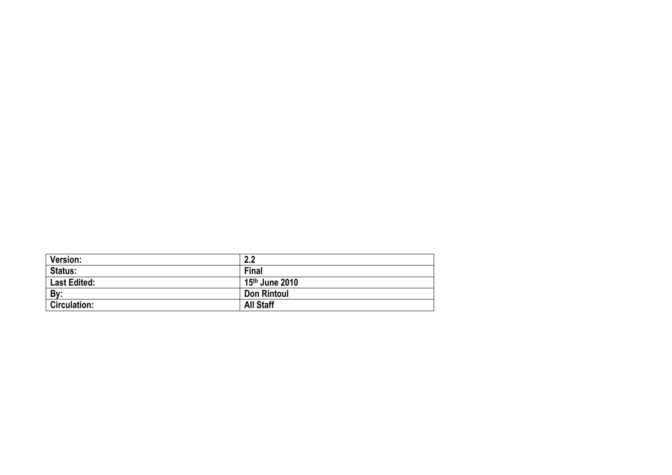| Version:            | 2.2                |
|---------------------|--------------------|
| Status:             | <b>Final</b>       |
| <b>Last Edited:</b> | 15th June 2010     |
| By:                 | <b>Don Rintoul</b> |
| <b>Circulation:</b> | <b>All Staff</b>   |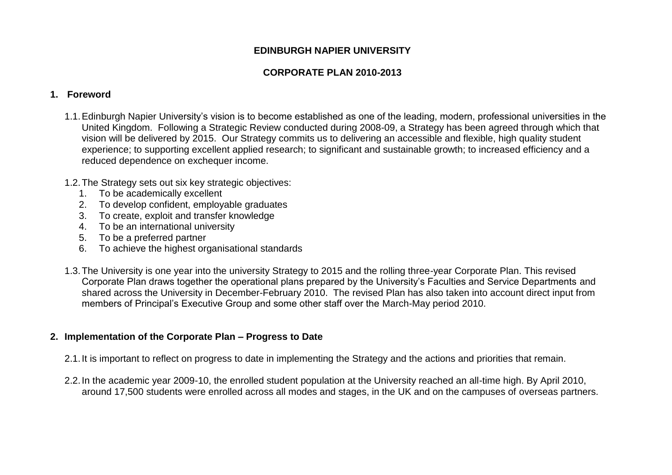### **EDINBURGH NAPIER UNIVERSITY**

## **CORPORATE PLAN 2010-2013**

## **1. Foreword**

- 1.1.Edinburgh Napier University's vision is to become established as one of the leading, modern, professional universities in the United Kingdom. Following a Strategic Review conducted during 2008-09, a Strategy has been agreed through which that vision will be delivered by 2015. Our Strategy commits us to delivering an accessible and flexible, high quality student experience; to supporting excellent applied research; to significant and sustainable growth; to increased efficiency and a reduced dependence on exchequer income.
- 1.2.The Strategy sets out six key strategic objectives:
	- 1. To be academically excellent
	- 2. To develop confident, employable graduates
	- 3. To create, exploit and transfer knowledge
	- 4. To be an international university
	- 5. To be a preferred partner
	- 6. To achieve the highest organisational standards
- 1.3.The University is one year into the university Strategy to 2015 and the rolling three-year Corporate Plan. This revised Corporate Plan draws together the operational plans prepared by the University's Faculties and Service Departments and shared across the University in December-February 2010. The revised Plan has also taken into account direct input from members of Principal's Executive Group and some other staff over the March-May period 2010.

## **2. Implementation of the Corporate Plan – Progress to Date**

- 2.1.It is important to reflect on progress to date in implementing the Strategy and the actions and priorities that remain.
- 2.2.In the academic year 2009-10, the enrolled student population at the University reached an all-time high. By April 2010, around 17,500 students were enrolled across all modes and stages, in the UK and on the campuses of overseas partners.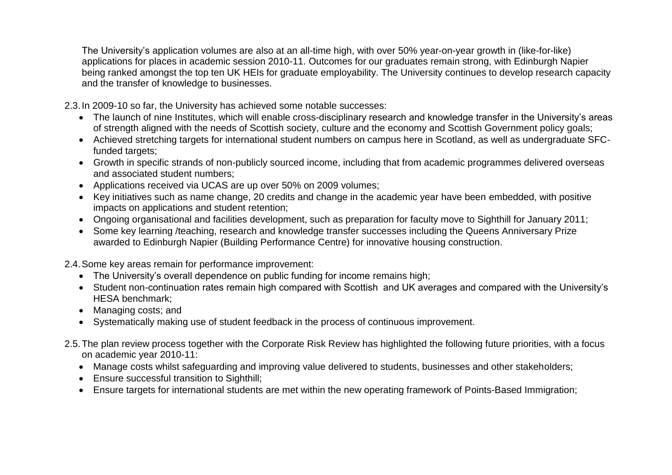The University's application volumes are also at an all-time high, with over 50% year-on-year growth in (like-for-like) applications for places in academic session 2010-11. Outcomes for our graduates remain strong, with Edinburgh Napier being ranked amongst the top ten UK HEIs for graduate employability. The University continues to develop research capacity and the transfer of knowledge to businesses.

2.3.In 2009-10 so far, the University has achieved some notable successes:

- The launch of nine Institutes, which will enable cross-disciplinary research and knowledge transfer in the University's areas of strength aligned with the needs of Scottish society, culture and the economy and Scottish Government policy goals;
- Achieved stretching targets for international student numbers on campus here in Scotland, as well as undergraduate SFCfunded targets;
- Growth in specific strands of non-publicly sourced income, including that from academic programmes delivered overseas and associated student numbers;
- Applications received via UCAS are up over 50% on 2009 volumes:
- Key initiatives such as name change, 20 credits and change in the academic year have been embedded, with positive impacts on applications and student retention;
- Ongoing organisational and facilities development, such as preparation for faculty move to Sighthill for January 2011;
- Some key learning /teaching, research and knowledge transfer successes including the Queens Anniversary Prize awarded to Edinburgh Napier (Building Performance Centre) for innovative housing construction.

2.4.Some key areas remain for performance improvement:

- The University's overall dependence on public funding for income remains high;
- Student non-continuation rates remain high compared with Scottish and UK averages and compared with the University's HESA benchmark;
- Managing costs; and
- Systematically making use of student feedback in the process of continuous improvement.
- 2.5.The plan review process together with the Corporate Risk Review has highlighted the following future priorities, with a focus on academic year 2010-11:
	- Manage costs whilst safeguarding and improving value delivered to students, businesses and other stakeholders;
	- Ensure successful transition to Sighthill;
	- Ensure targets for international students are met within the new operating framework of Points-Based Immigration;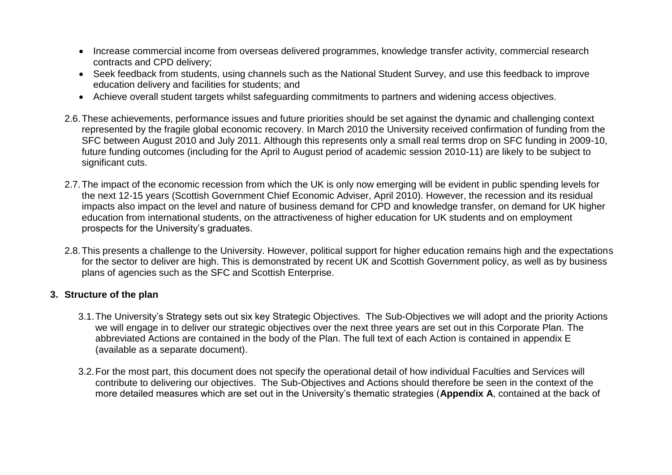- Increase commercial income from overseas delivered programmes, knowledge transfer activity, commercial research contracts and CPD delivery;
- Seek feedback from students, using channels such as the National Student Survey, and use this feedback to improve education delivery and facilities for students; and
- Achieve overall student targets whilst safeguarding commitments to partners and widening access objectives.
- 2.6.These achievements, performance issues and future priorities should be set against the dynamic and challenging context represented by the fragile global economic recovery. In March 2010 the University received confirmation of funding from the SFC between August 2010 and July 2011. Although this represents only a small real terms drop on SFC funding in 2009-10, future funding outcomes (including for the April to August period of academic session 2010-11) are likely to be subject to significant cuts.
- 2.7.The impact of the economic recession from which the UK is only now emerging will be evident in public spending levels for the next 12-15 years (Scottish Government Chief Economic Adviser, April 2010). However, the recession and its residual impacts also impact on the level and nature of business demand for CPD and knowledge transfer, on demand for UK higher education from international students, on the attractiveness of higher education for UK students and on employment prospects for the University's graduates.
- 2.8.This presents a challenge to the University. However, political support for higher education remains high and the expectations for the sector to deliver are high. This is demonstrated by recent UK and Scottish Government policy, as well as by business plans of agencies such as the SFC and Scottish Enterprise.

### **3. Structure of the plan**

- 3.1.The University's Strategy sets out six key Strategic Objectives. The Sub-Objectives we will adopt and the priority Actions we will engage in to deliver our strategic objectives over the next three years are set out in this Corporate Plan. The abbreviated Actions are contained in the body of the Plan. The full text of each Action is contained in appendix E (available as a separate document).
- 3.2.For the most part, this document does not specify the operational detail of how individual Faculties and Services will contribute to delivering our objectives. The Sub-Objectives and Actions should therefore be seen in the context of the more detailed measures which are set out in the University's thematic strategies (**Appendix A**, contained at the back of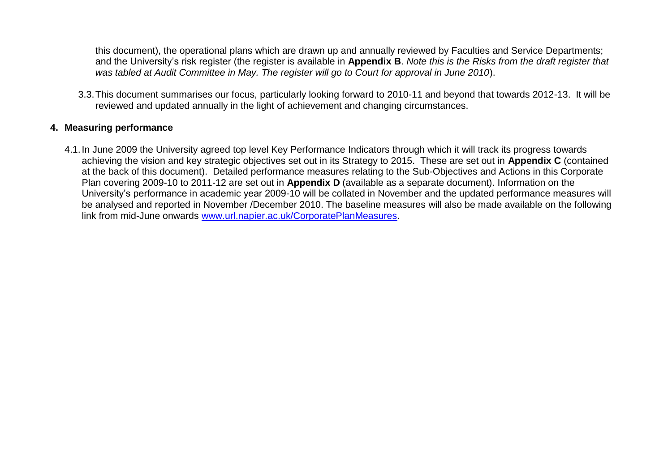this document), the operational plans which are drawn up and annually reviewed by Faculties and Service Departments; and the University's risk register (the register is available in **Appendix B**. *Note this is the Risks from the draft register that was tabled at Audit Committee in May. The register will go to Court for approval in June 2010*).

3.3.This document summarises our focus, particularly looking forward to 2010-11 and beyond that towards 2012-13. It will be reviewed and updated annually in the light of achievement and changing circumstances.

#### **4. Measuring performance**

4.1.In June 2009 the University agreed top level Key Performance Indicators through which it will track its progress towards achieving the vision and key strategic objectives set out in its Strategy to 2015. These are set out in **Appendix C** (contained at the back of this document). Detailed performance measures relating to the Sub-Objectives and Actions in this Corporate Plan covering 2009-10 to 2011-12 are set out in **Appendix D** (available as a separate document). Information on the University's performance in academic year 2009-10 will be collated in November and the updated performance measures will be analysed and reported in November /December 2010. The baseline measures will also be made available on the following link from mid-June onwards [www.url.napier.ac.uk/CorporatePlanMeasures.](http://www.url.napier.ac.uk/CorporatePlanMeasures)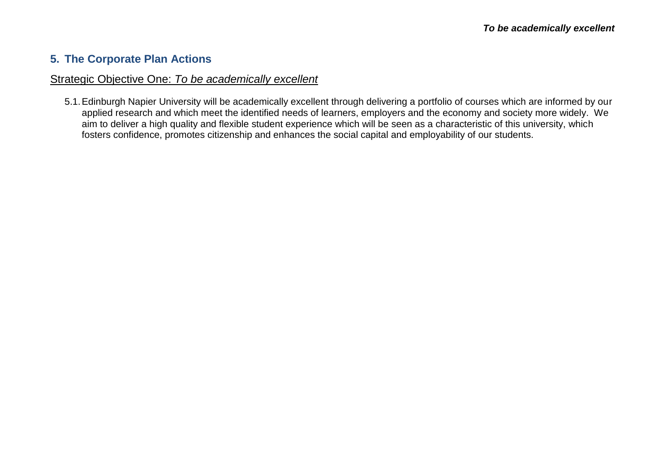## **5. The Corporate Plan Actions**

### Strategic Objective One: *To be academically excellent*

5.1.Edinburgh Napier University will be academically excellent through delivering a portfolio of courses which are informed by our applied research and which meet the identified needs of learners, employers and the economy and society more widely. We aim to deliver a high quality and flexible student experience which will be seen as a characteristic of this university, which fosters confidence, promotes citizenship and enhances the social capital and employability of our students.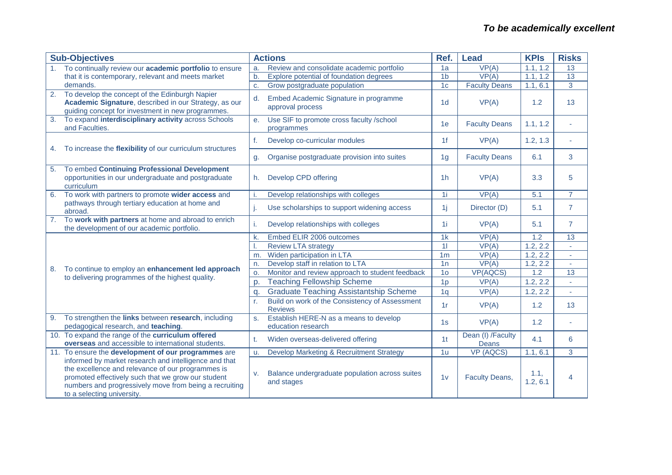|    | <b>Sub-Objectives</b>                                                                                                                                                                                                                                    |                | <b>Actions</b>                                                   | Ref.            | <b>Lead</b>                | <b>KPIs</b>      | <b>Risks</b>   |
|----|----------------------------------------------------------------------------------------------------------------------------------------------------------------------------------------------------------------------------------------------------------|----------------|------------------------------------------------------------------|-----------------|----------------------------|------------------|----------------|
| 1. | To continually review our academic portfolio to ensure                                                                                                                                                                                                   | a.             | Review and consolidate academic portfolio                        | 1a              | VP(A)                      | 1.1, 1.2         | 13             |
|    | that it is contemporary, relevant and meets market                                                                                                                                                                                                       | b.             | Explore potential of foundation degrees                          | 1 <sub>b</sub>  | VP(A)                      | 1.1, 1.2         | 13             |
|    | demands.                                                                                                                                                                                                                                                 | c.             | Grow postgraduate population                                     | 1 <sub>c</sub>  | <b>Faculty Deans</b>       | 1.1, 6.1         | 3              |
| 2. | To develop the concept of the Edinburgh Napier<br>Academic Signature, described in our Strategy, as our<br>guiding concept for investment in new programmes.                                                                                             | d.             | Embed Academic Signature in programme<br>approval process        | 1 <sub>d</sub>  | VP(A)                      | 1.2              | 13             |
| 3. | To expand interdisciplinary activity across Schools<br>and Faculties.                                                                                                                                                                                    | e.             | Use SIF to promote cross faculty /school<br>programmes           | 1e              | <b>Faculty Deans</b>       | 1.1, 1.2         |                |
| 4. | To increase the flexibility of our curriculum structures                                                                                                                                                                                                 | f.             | Develop co-curricular modules                                    | 1f              | VP(A)                      | 1.2, 1.3         |                |
|    |                                                                                                                                                                                                                                                          | g.             | Organise postgraduate provision into suites                      | 1 <sub>g</sub>  | <b>Faculty Deans</b>       | 6.1              | 3              |
| 5. | To embed Continuing Professional Development<br>opportunities in our undergraduate and postgraduate<br>curriculum                                                                                                                                        | h.             | Develop CPD offering                                             | 1 <sub>h</sub>  | VP(A)                      | 3.3              | 5              |
| 6. | To work with partners to promote wider access and                                                                                                                                                                                                        |                | Develop relationships with colleges                              | 1i              | VP(A)                      | 5.1              | $\overline{7}$ |
|    | pathways through tertiary education at home and<br>abroad.                                                                                                                                                                                               | j.             | Use scholarships to support widening access                      | 1j              | Director (D)               | 5.1              | $\overline{7}$ |
| 7. | To work with partners at home and abroad to enrich<br>the development of our academic portfolio.                                                                                                                                                         | Ť.             | Develop relationships with colleges                              | 1i              | VP(A)                      | 5.1              | $\overline{7}$ |
|    |                                                                                                                                                                                                                                                          | k.             | Embed ELIR 2006 outcomes                                         | 1k              | VP(A)                      | 1.2              | 13             |
|    |                                                                                                                                                                                                                                                          |                | <b>Review LTA strategy</b>                                       | $\overline{11}$ | VP(A)                      | 1.2, 2.2         | $\sim$         |
|    |                                                                                                                                                                                                                                                          | m.             | Widen participation in LTA                                       | 1 <sub>m</sub>  | VP(A)                      | 1.2, 2.2         | $\sim$         |
|    |                                                                                                                                                                                                                                                          | n.             | Develop staff in relation to LTA                                 | 1n              | VP(A)                      | 1.2, 2.2         |                |
| 8. | To continue to employ an enhancement led approach<br>to delivering programmes of the highest quality.                                                                                                                                                    | O <sub>x</sub> | Monitor and review approach to student feedback                  | 1 <sub>0</sub>  | <b>VP(AQCS)</b>            | 1.2              | 13             |
|    |                                                                                                                                                                                                                                                          | D.             | <b>Teaching Fellowship Scheme</b>                                | 1 <sub>p</sub>  | VP(A)                      | 1.2, 2.2         |                |
|    |                                                                                                                                                                                                                                                          | q.             | <b>Graduate Teaching Assistantship Scheme</b>                    | 1q              | VP(A)                      | 1.2, 2.2         | ÷.             |
|    |                                                                                                                                                                                                                                                          | r.             | Build on work of the Consistency of Assessment<br><b>Reviews</b> | 1r              | VP(A)                      | 1.2              | 13             |
| 9. | To strengthen the links between research, including<br>pedagogical research, and teaching.                                                                                                                                                               | $S_{1}$        | Establish HERE-N as a means to develop<br>education research     | 1s              | VP(A)                      | 1.2              | ä,             |
|    | 10. To expand the range of the curriculum offered<br>overseas and accessible to international students.                                                                                                                                                  | t.             | Widen overseas-delivered offering                                | 1 <sub>t</sub>  | Dean (I) /Faculty<br>Deans | 4.1              | 6              |
|    | 11. To ensure the development of our programmes are                                                                                                                                                                                                      | u.             | Develop Marketing & Recruitment Strategy                         | 1 <sub>u</sub>  | VP (AQCS)                  | 1.1, 6.1         | 3              |
|    | informed by market research and intelligence and that<br>the excellence and relevance of our programmes is<br>promoted effectively such that we grow our student<br>numbers and progressively move from being a recruiting<br>to a selecting university. | V.             | Balance undergraduate population across suites<br>and stages     | 1 <sub>V</sub>  | <b>Faculty Deans,</b>      | 1.1,<br>1.2, 6.1 | $\overline{4}$ |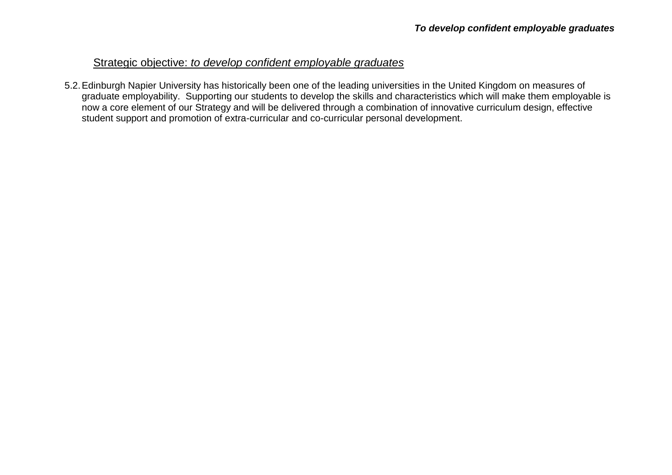## Strategic objective: *to develop confident employable graduates*

5.2.Edinburgh Napier University has historically been one of the leading universities in the United Kingdom on measures of graduate employability. Supporting our students to develop the skills and characteristics which will make them employable is now a core element of our Strategy and will be delivered through a combination of innovative curriculum design, effective student support and promotion of extra-curricular and co-curricular personal development.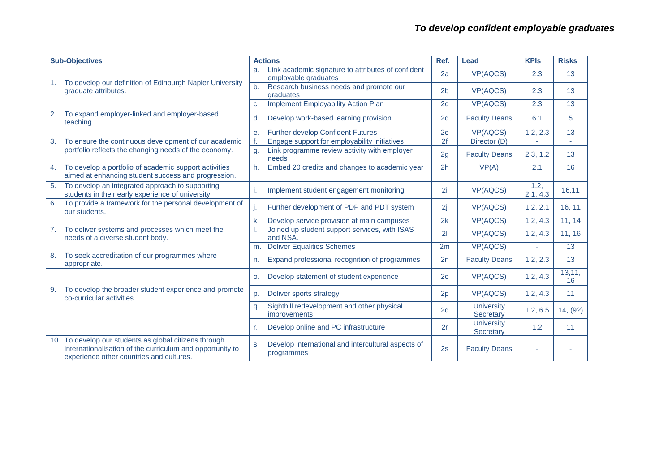|    | <b>Sub-Objectives</b>                                                                                                                                           | <b>Actions</b>                                                                   | Ref.           | Lead                           | <b>KPIs</b>      | <b>Risks</b>    |
|----|-----------------------------------------------------------------------------------------------------------------------------------------------------------------|----------------------------------------------------------------------------------|----------------|--------------------------------|------------------|-----------------|
|    |                                                                                                                                                                 | Link academic signature to attributes of confident<br>a.<br>employable graduates | 2a             | <b>VP(AQCS)</b>                | 2.3              | 13              |
|    | To develop our definition of Edinburgh Napier University<br>graduate attributes.                                                                                | Research business needs and promote our<br>b.<br>graduates                       | 2 <sub>b</sub> | <b>VP(AQCS)</b>                | 2.3              | 13              |
|    |                                                                                                                                                                 | <b>Implement Employability Action Plan</b><br>c.                                 | 2 <sub>c</sub> | <b>VP(AQCS)</b>                | 2.3              | 13              |
| 2. | To expand employer-linked and employer-based<br>teaching.                                                                                                       | Develop work-based learning provision<br>d.                                      | 2d             | <b>Faculty Deans</b>           | 6.1              | 5               |
|    |                                                                                                                                                                 | <b>Further develop Confident Futures</b><br>е.                                   | 2e             | <b>VP(AQCS)</b>                | 1.2, 2.3         | 13              |
| 3. | To ensure the continuous development of our academic                                                                                                            | Engage support for employability initiatives                                     | 2f             | Director $(D)$                 |                  |                 |
|    | portfolio reflects the changing needs of the economy.                                                                                                           | Link programme review activity with employer<br>g.<br>needs                      | 2g             | <b>Faculty Deans</b>           | 2.3, 1.2         | 13              |
| 4. | To develop a portfolio of academic support activities<br>aimed at enhancing student success and progression.                                                    | Embed 20 credits and changes to academic year<br>h.                              | 2 <sub>h</sub> | VP(A)                          | 2.1              | 16              |
| 5. | To develop an integrated approach to supporting<br>students in their early experience of university.                                                            | Implement student engagement monitoring                                          | 2i             | <b>VP(AQCS)</b>                | 1.2,<br>2.1, 4.3 | 16,11           |
| 6. | To provide a framework for the personal development of<br>our students.                                                                                         | Further development of PDP and PDT system                                        | 2j             | <b>VP(AQCS)</b>                | 1.2, 2.1         | 16, 11          |
|    |                                                                                                                                                                 | Develop service provision at main campuses<br>k.                                 | 2k             | <b>VP(AQCS)</b>                | 1.2, 4.3         | 11, 14          |
| 7. | To deliver systems and processes which meet the<br>needs of a diverse student body.                                                                             | Joined up student support services, with ISAS<br>and NSA.                        | 21             | <b>VP(AQCS)</b>                | 1.2, 4.3         | 11, 16          |
|    |                                                                                                                                                                 | <b>Deliver Equalities Schemes</b><br>m.                                          | 2m             | <b>VP(AQCS)</b>                |                  | $\overline{13}$ |
| 8. | To seek accreditation of our programmes where<br>appropriate.                                                                                                   | Expand professional recognition of programmes<br>n.                              | 2n             | <b>Faculty Deans</b>           | 1.2, 2.3         | 13              |
|    |                                                                                                                                                                 | Develop statement of student experience<br>о.                                    | 2 <sub>0</sub> | <b>VP(AQCS)</b>                | 1.2, 4.3         | 13,11,<br>16    |
| 9. | To develop the broader student experience and promote<br>co-curricular activities.                                                                              | Deliver sports strategy<br>D.                                                    | 2p             | <b>VP(AQCS)</b>                | 1.2, 4.3         | 11              |
|    | α.                                                                                                                                                              | Sighthill redevelopment and other physical<br>improvements                       | 2q             | <b>University</b><br>Secretary | 1.2, 6.5         | 14, (9?)        |
|    |                                                                                                                                                                 | Develop online and PC infrastructure<br>r.                                       | 2r             | <b>University</b><br>Secretary | 1.2              | 11              |
|    | 10. To develop our students as global citizens through<br>internationalisation of the curriculum and opportunity to<br>experience other countries and cultures. | Develop international and intercultural aspects of<br>s.<br>programmes           | 2s             | <b>Faculty Deans</b>           |                  |                 |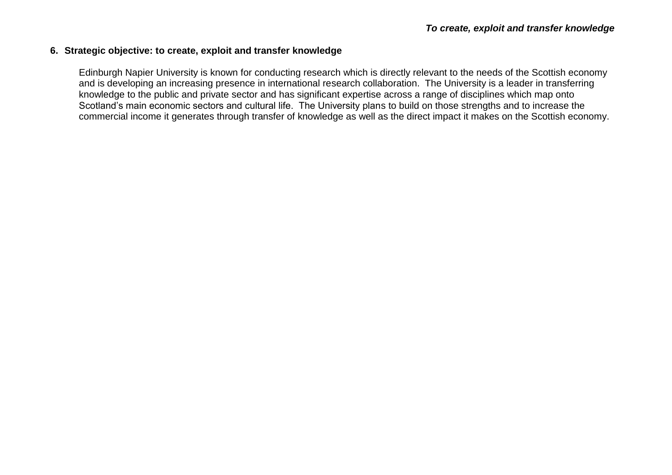#### **6. Strategic objective: to create, exploit and transfer knowledge**

Edinburgh Napier University is known for conducting research which is directly relevant to the needs of the Scottish economy and is developing an increasing presence in international research collaboration. The University is a leader in transferring knowledge to the public and private sector and has significant expertise across a range of disciplines which map onto Scotland's main economic sectors and cultural life. The University plans to build on those strengths and to increase the commercial income it generates through transfer of knowledge as well as the direct impact it makes on the Scottish economy.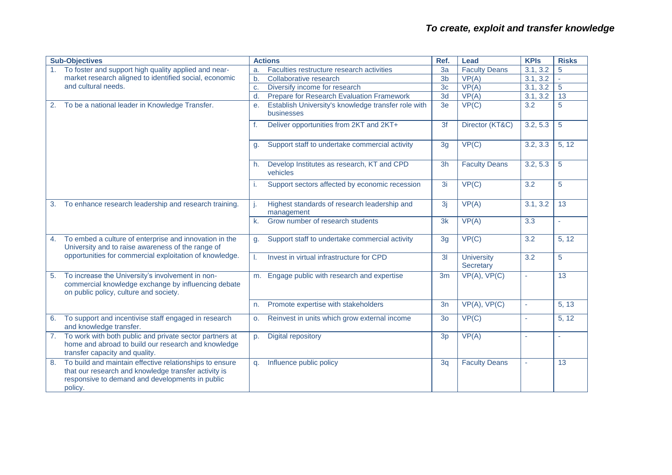| <b>Sub-Objectives</b>                                                                                                                                                               | <b>Actions</b>                                                          | Ref.            | Lead                           | <b>KPIs</b>      | <b>Risks</b>    |
|-------------------------------------------------------------------------------------------------------------------------------------------------------------------------------------|-------------------------------------------------------------------------|-----------------|--------------------------------|------------------|-----------------|
| To foster and support high quality applied and near-<br>1.                                                                                                                          | Faculties restructure research activities<br>a.                         | 3a              | <b>Faculty Deans</b>           | 3.1, 3.2         | 5               |
| market research aligned to identified social, economic                                                                                                                              | Collaborative research<br>b.                                            | 3 <sub>b</sub>  | VP(A)                          | 3.1, 3.2         | ä.              |
| and cultural needs.                                                                                                                                                                 | Diversify income for research<br>c.                                     | 3 <sub>c</sub>  | VP(A)                          | 3.1, 3.2         | $\overline{5}$  |
|                                                                                                                                                                                     | Prepare for Research Evaluation Framework<br>d.                         | $\overline{3d}$ | VP(A)                          | 3.1, 3.2         | $\overline{13}$ |
| To be a national leader in Knowledge Transfer.<br>2.                                                                                                                                | Establish University's knowledge transfer role with<br>e.<br>businesses | 3e              | VP(C)                          | 3.2              | 5               |
|                                                                                                                                                                                     | Deliver opportunities from 2KT and 2KT+                                 | 3f              | Director (KT&C)                | 3.2, 5.3         | 5               |
|                                                                                                                                                                                     | Support staff to undertake commercial activity<br>g.                    | 3 <sub>q</sub>  | VP(C)                          | 3.2, 3.3         | 5, 12           |
|                                                                                                                                                                                     | Develop Institutes as research, KT and CPD<br>h.<br>vehicles            | 3h              | <b>Faculty Deans</b>           | 3.2, 5.3         | 5               |
|                                                                                                                                                                                     | Support sectors affected by economic recession                          | 3i              | VP(C)                          | 3.2              | 5               |
| 3.<br>To enhance research leadership and research training.                                                                                                                         | Highest standards of research leadership and<br>management              | 3j              | VP(A)                          | 3.1, 3.2         | 13              |
|                                                                                                                                                                                     | Grow number of research students<br>k.                                  | 3k              | VP(A)                          | $\overline{3.3}$ |                 |
| To embed a culture of enterprise and innovation in the<br>4.<br>University and to raise awareness of the range of                                                                   | Support staff to undertake commercial activity<br>g.                    | 3 <sub>q</sub>  | VP(C)                          | $\overline{3.2}$ | 5, 12           |
| opportunities for commercial exploitation of knowledge.                                                                                                                             | Invest in virtual infrastructure for CPD                                | 3 <sub>l</sub>  | <b>University</b><br>Secretary | 3.2              | 5               |
| To increase the University's involvement in non-<br>5.<br>commercial knowledge exchange by influencing debate<br>on public policy, culture and society.                             | Engage public with research and expertise<br>m.                         | 3 <sub>m</sub>  | VP(A), VP(C)                   |                  | $\overline{13}$ |
|                                                                                                                                                                                     | Promote expertise with stakeholders<br>n.                               | 3n              | $VP(A)$ , $VP(C)$              | $\sim$           | 5, 13           |
| To support and incentivise staff engaged in research<br>6.<br>and knowledge transfer.                                                                                               | Reinvest in units which grow external income<br>о.                      | 3 <sub>o</sub>  | VP(C)                          |                  | 5, 12           |
| To work with both public and private sector partners at<br>7.<br>home and abroad to build our research and knowledge<br>transfer capacity and quality.                              | <b>Digital repository</b><br>D.                                         | 3p              | VP(A)                          |                  |                 |
| To build and maintain effective relationships to ensure<br>8.<br>that our research and knowledge transfer activity is<br>responsive to demand and developments in public<br>policy. | Influence public policy<br>q.                                           | 3q              | <b>Faculty Deans</b>           |                  | 13              |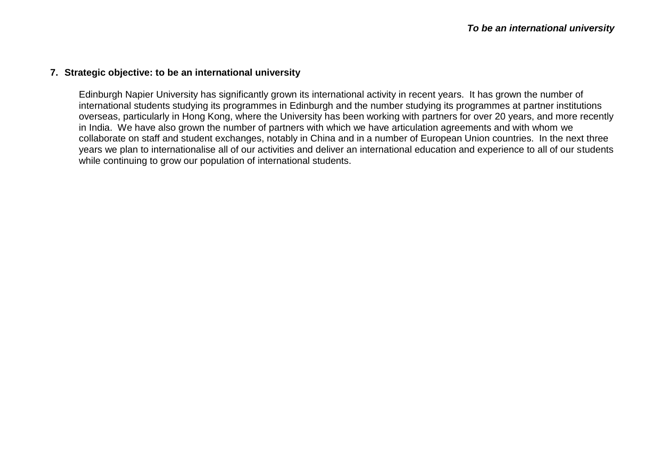#### **7. Strategic objective: to be an international university**

Edinburgh Napier University has significantly grown its international activity in recent years. It has grown the number of international students studying its programmes in Edinburgh and the number studying its programmes at partner institutions overseas, particularly in Hong Kong, where the University has been working with partners for over 20 years, and more recently in India. We have also grown the number of partners with which we have articulation agreements and with whom we collaborate on staff and student exchanges, notably in China and in a number of European Union countries. In the next three years we plan to internationalise all of our activities and deliver an international education and experience to all of our students while continuing to grow our population of international students.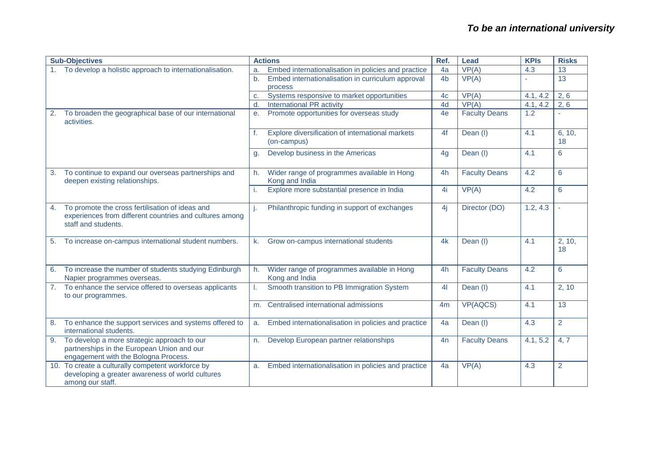|    | <b>Sub-Objectives</b>                                                                                                             |                | <b>Actions</b>                                                  | Ref.           | Lead                 | <b>KPIs</b> | <b>Risks</b>   |
|----|-----------------------------------------------------------------------------------------------------------------------------------|----------------|-----------------------------------------------------------------|----------------|----------------------|-------------|----------------|
|    | To develop a holistic approach to internationalisation.                                                                           | a.             | Embed internationalisation in policies and practice             | 4a             | VP(A)                | 4.3         | 13             |
|    |                                                                                                                                   | b.             | Embed internationalisation in curriculum approval<br>process    | 4 <sub>b</sub> | VP(A)                |             | 13             |
|    |                                                                                                                                   | c.             | Systems responsive to market opportunities                      | 4 <sub>c</sub> | VP(A)                | 4.1, 4.2    | 2, 6           |
|    |                                                                                                                                   | d.             | <b>International PR activity</b>                                | 4d             | VP(A)                | 4.1, 4.2    | 2, 6           |
| 2. | To broaden the geographical base of our international<br>activities.                                                              | e.             | Promote opportunities for overseas study                        | 4e             | <b>Faculty Deans</b> | 1.2         |                |
|    |                                                                                                                                   | f.             | Explore diversification of international markets<br>(on-campus) | 4f             | Dean (I)             | 4.1         | 6, 10,<br>18   |
|    |                                                                                                                                   | g.             | Develop business in the Americas                                | 4 <sub>q</sub> | Dean (I)             | 4.1         | 6              |
| 3. | To continue to expand our overseas partnerships and<br>deepen existing relationships.                                             | h.             | Wider range of programmes available in Hong<br>Kong and India   | 4h             | <b>Faculty Deans</b> | 4.2         | 6              |
|    |                                                                                                                                   | i.             | Explore more substantial presence in India                      | 4i             | VP(A)                | 4.2         | 6              |
| 4. | To promote the cross fertilisation of ideas and<br>experiences from different countries and cultures among<br>staff and students. |                | Philanthropic funding in support of exchanges                   | 4i             | Director (DO)        | 1.2, 4.3    |                |
| 5. | To increase on-campus international student numbers.                                                                              | $\mathsf{k}$ . | Grow on-campus international students                           | 4k             | Dean (I)             | 4.1         | 2, 10,<br>18   |
| 6. | To increase the number of students studying Edinburgh<br>Napier programmes overseas.                                              | h.             | Wider range of programmes available in Hong<br>Kong and India   | 4h             | <b>Faculty Deans</b> | 4.2         | 6              |
| 7. | To enhance the service offered to overseas applicants<br>to our programmes.                                                       |                | Smooth transition to PB Immigration System                      | 4 <sup>1</sup> | Dean (I)             | 4.1         | 2, 10          |
|    |                                                                                                                                   | m.             | Centralised international admissions                            | 4 <sub>m</sub> | <b>VP(AQCS)</b>      | 4.1         | 13             |
| 8. | To enhance the support services and systems offered to<br>international students.                                                 | a.             | Embed internationalisation in policies and practice             | 4a             | Dean (I)             | 4.3         | 2              |
| 9. | To develop a more strategic approach to our<br>partnerships in the European Union and our<br>engagement with the Bologna Process. | n.             | Develop European partner relationships                          | 4n             | <b>Faculty Deans</b> | 4.1, 5.2    | 4, 7           |
|    | 10. To create a culturally competent workforce by<br>developing a greater awareness of world cultures<br>among our staff.         | a.             | Embed internationalisation in policies and practice             | 4a             | VP(A)                | 4.3         | $\overline{2}$ |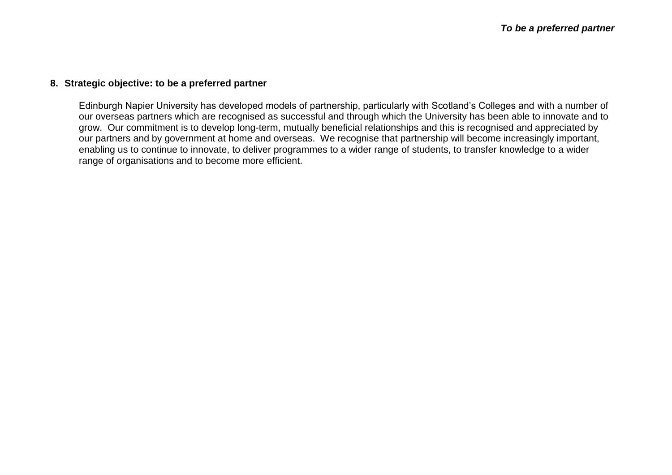#### **8. Strategic objective: to be a preferred partner**

Edinburgh Napier University has developed models of partnership, particularly with Scotland's Colleges and with a number of our overseas partners which are recognised as successful and through which the University has been able to innovate and to grow. Our commitment is to develop long-term, mutually beneficial relationships and this is recognised and appreciated by our partners and by government at home and overseas. We recognise that partnership will become increasingly important, enabling us to continue to innovate, to deliver programmes to a wider range of students, to transfer knowledge to a wider range of organisations and to become more efficient.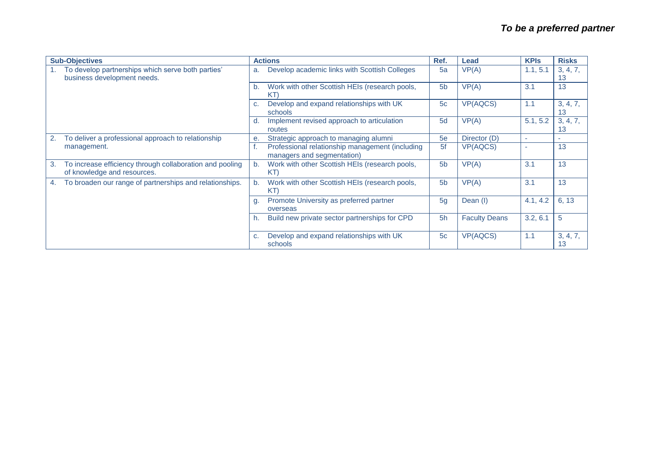| <b>Sub-Objectives</b>                                                                         | <b>Actions</b>                                                                | Ref.           | Lead                 | <b>KPIs</b> | <b>Risks</b>   |
|-----------------------------------------------------------------------------------------------|-------------------------------------------------------------------------------|----------------|----------------------|-------------|----------------|
| To develop partnerships which serve both parties'<br>business development needs.              | Develop academic links with Scottish Colleges<br>a.                           | 5a             | VP(A)                | 1.1, 5.1    | 3, 4, 7,<br>13 |
|                                                                                               | Work with other Scottish HEIs (research pools,<br>b.<br>ΚT                    | 5 <sub>b</sub> | VP(A)                | 3.1         | 13             |
|                                                                                               | Develop and expand relationships with UK<br>c.<br>schools                     | 5c             | <b>VP(AQCS)</b>      | 1.1         | 3, 4, 7,<br>13 |
|                                                                                               | Implement revised approach to articulation<br>α.<br>routes                    | 5d             | VP(A)                | 5.1, 5.2    | 3, 4, 7,<br>13 |
| To deliver a professional approach to relationship                                            | Strategic approach to managing alumni<br>е.                                   | 5e             | Director (D)         | ٠           |                |
| management.                                                                                   | Professional relationship management (including<br>managers and segmentation) | 5f             | <b>VP(AQCS)</b>      |             | 13             |
| To increase efficiency through collaboration and pooling<br>3.<br>of knowledge and resources. | Work with other Scottish HEIs (research pools,<br>b.<br>KT)                   | 5 <sub>b</sub> | VP(A)                | 3.1         | 13             |
| To broaden our range of partnerships and relationships.                                       | Work with other Scottish HEIs (research pools,<br>b.<br>KT)                   | 5 <sub>b</sub> | VP(A)                | 3.1         | 13             |
|                                                                                               | Promote University as preferred partner<br>g.<br>overseas                     | 5 <sub>q</sub> | Dean (I)             | 4.1, 4.2    | 6, 13          |
|                                                                                               | Build new private sector partnerships for CPD<br>h.                           | 5h             | <b>Faculty Deans</b> | 3.2, 6.1    | 5              |
|                                                                                               | Develop and expand relationships with UK<br>C.<br>schools                     | 5c             | <b>VP(AQCS)</b>      | 1.1         | 3, 4, 7,<br>13 |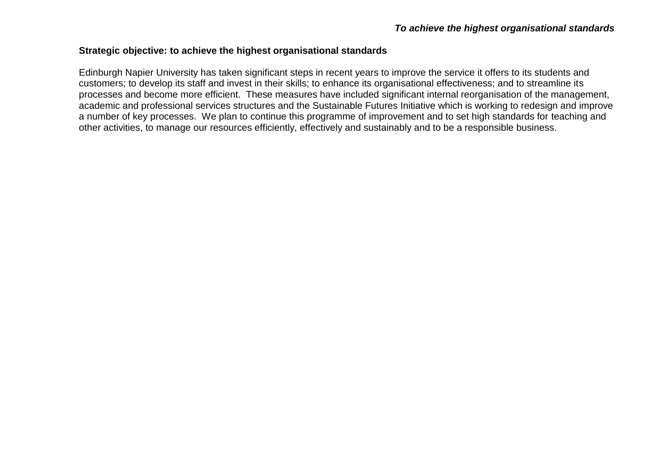#### **Strategic objective: to achieve the highest organisational standards**

Edinburgh Napier University has taken significant steps in recent years to improve the service it offers to its students and customers; to develop its staff and invest in their skills; to enhance its organisational effectiveness; and to streamline its processes and become more efficient. These measures have included significant internal reorganisation of the management, academic and professional services structures and the Sustainable Futures Initiative which is working to redesign and improve a number of key processes. We plan to continue this programme of improvement and to set high standards for teaching and other activities, to manage our resources efficiently, effectively and sustainably and to be a responsible business.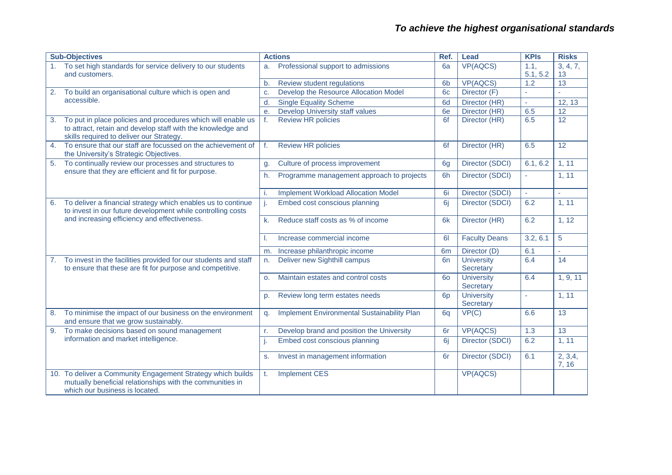|                  | <b>Sub-Objectives</b>                                                                                                                                                   |              | <b>Actions</b>                                     | Ref.           | Lead                           | <b>KPIs</b>                  | <b>Risks</b>          |
|------------------|-------------------------------------------------------------------------------------------------------------------------------------------------------------------------|--------------|----------------------------------------------------|----------------|--------------------------------|------------------------------|-----------------------|
| 1.               | To set high standards for service delivery to our students<br>and customers.                                                                                            | a.           | Professional support to admissions                 | 6a             | <b>VP(AQCS)</b>                | 1.1,                         | 3, 4, 7,              |
|                  |                                                                                                                                                                         | b.           | Review student regulations                         | 6 <sub>b</sub> | <b>VP(AQCS)</b>                | 5.1, 5.2<br>$\overline{1.2}$ | 13<br>$\overline{13}$ |
|                  | To build an organisational culture which is open and                                                                                                                    | c.           | Develop the Resource Allocation Model              | 6 <sub>c</sub> | Director (F)                   |                              |                       |
|                  | accessible.                                                                                                                                                             | d.           | <b>Single Equality Scheme</b>                      | 6d             | Director (HR)                  | ÷.                           | 12, 13                |
|                  |                                                                                                                                                                         | $\mathbf{e}$ | <b>Develop University staff values</b>             | 6e             | Director (HR)                  | 6.5                          | $\overline{12}$       |
| 3.               | To put in place policies and procedures which will enable us<br>to attract, retain and develop staff with the knowledge and<br>skills required to deliver our Strategy. | f.           | <b>Review HR policies</b>                          | 6f             | Director (HR)                  | 6.5                          | $\overline{12}$       |
| $\overline{4}$ . | To ensure that our staff are focussed on the achievement of<br>the University's Strategic Objectives.                                                                   | f.           | <b>Review HR policies</b>                          | 6f             | Director (HR)                  | 6.5                          | $\overline{12}$       |
| 5.               | To continually review our processes and structures to                                                                                                                   | g.           | Culture of process improvement                     | 6g             | Director (SDCI)                | 6.1, 6.2                     | 1, 11                 |
|                  | ensure that they are efficient and fit for purpose.                                                                                                                     | h.           | Programme management approach to projects          | 6h             | Director (SDCI)                |                              | 1, 11                 |
|                  |                                                                                                                                                                         | i.           | <b>Implement Workload Allocation Model</b>         | 6i             | Director (SDCI)                | ä,                           |                       |
| 6.               | To deliver a financial strategy which enables us to continue<br>to invest in our future development while controlling costs                                             | j.           | Embed cost conscious planning                      | 6i             | Director (SDCI)                | 6.2                          | 1, 11                 |
|                  | and increasing efficiency and effectiveness.                                                                                                                            | k.           | Reduce staff costs as % of income                  | 6k             | Director (HR)                  | 6.2                          | 1, 12                 |
|                  |                                                                                                                                                                         |              | Increase commercial income                         | 61             | <b>Faculty Deans</b>           | 3.2, 6.1                     | 5                     |
|                  |                                                                                                                                                                         | m.           | Increase philanthropic income                      | 6 <sub>m</sub> | Director (D)                   | 6.1                          |                       |
| 7.               | To invest in the facilities provided for our students and staff<br>to ensure that these are fit for purpose and competitive.                                            | n.           | Deliver new Sighthill campus                       | 6 <sub>n</sub> | <b>University</b><br>Secretary | 6.4                          | 14                    |
|                  |                                                                                                                                                                         | $\Omega$ .   | Maintain estates and control costs                 | 60             | <b>University</b><br>Secretary | 6.4                          | 1, 9, 11              |
|                  |                                                                                                                                                                         | p.           | Review long term estates needs                     | 6 <sub>p</sub> | <b>University</b><br>Secretary |                              | 1, 11                 |
| 8.               | To minimise the impact of our business on the environment<br>and ensure that we grow sustainably.                                                                       | q.           | <b>Implement Environmental Sustainability Plan</b> | 6q             | VP(C)                          | 6.6                          | $\overline{13}$       |
| 9.               | To make decisions based on sound management                                                                                                                             | r.           | Develop brand and position the University          | 6r             | <b>VP(AQCS)</b>                | $\overline{1.3}$             | 13                    |
|                  | information and market intelligence.                                                                                                                                    | j.           | Embed cost conscious planning                      | 6j             | Director (SDCI)                | 6.2                          | 1, 11                 |
|                  |                                                                                                                                                                         | S.           | Invest in management information                   | 6r             | Director (SDCI)                | 6.1                          | 2, 3, 4,<br>7, 16     |
|                  | 10. To deliver a Community Engagement Strategy which builds<br>mutually beneficial relationships with the communities in<br>which our business is located.              | t.           | <b>Implement CES</b>                               |                | <b>VP(AQCS)</b>                |                              |                       |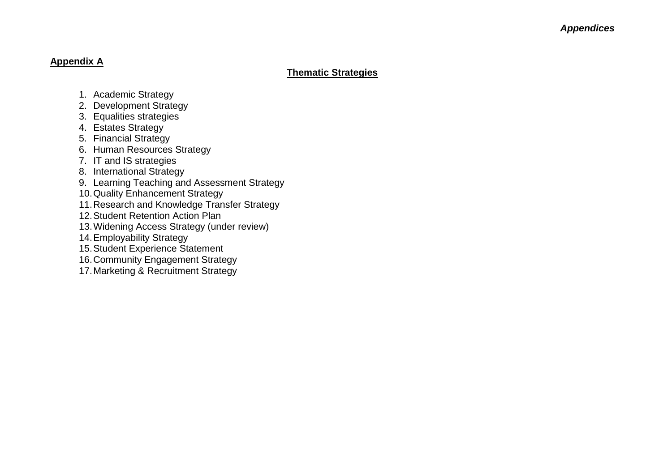### **Appendix A**

### **Thematic Strategies**

- 1. Academic Strategy
- 2. Development Strategy
- 3. Equalities strategies
- 4. Estates Strategy
- 5. Financial Strategy
- 6. Human Resources Strategy
- 7. IT and IS strategies
- 8. International Strategy
- 9. Learning Teaching and Assessment Strategy
- 10.Quality Enhancement Strategy
- 11.Research and Knowledge Transfer Strategy
- 12.Student Retention Action Plan
- 13.Widening Access Strategy (under review )
- 14.Employability Strategy
- 15.Student Experience Statement
- 16.Community Engagement Strategy
- 17.Marketing & Recruitment Strategy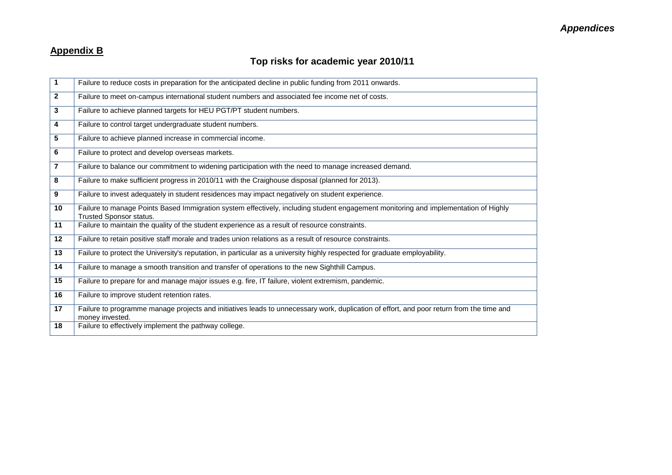## **Appendix B**

# **Top risks for academic year 2010/11**

| 1            | Failure to reduce costs in preparation for the anticipated decline in public funding from 2011 onwards.                                                        |
|--------------|----------------------------------------------------------------------------------------------------------------------------------------------------------------|
| $\mathbf{2}$ | Failure to meet on-campus international student numbers and associated fee income net of costs.                                                                |
| 3            | Failure to achieve planned targets for HEU PGT/PT student numbers.                                                                                             |
| 4            | Failure to control target undergraduate student numbers.                                                                                                       |
| 5            | Failure to achieve planned increase in commercial income.                                                                                                      |
| 6            | Failure to protect and develop overseas markets.                                                                                                               |
| 7            | Failure to balance our commitment to widening participation with the need to manage increased demand.                                                          |
| 8            | Failure to make sufficient progress in 2010/11 with the Craighouse disposal (planned for 2013).                                                                |
| 9            | Failure to invest adequately in student residences may impact negatively on student experience.                                                                |
| 10           | Failure to manage Points Based Immigration system effectively, including student engagement monitoring and implementation of Highly<br>Trusted Sponsor status. |
| 11           | Failure to maintain the quality of the student experience as a result of resource constraints.                                                                 |
| 12           | Failure to retain positive staff morale and trades union relations as a result of resource constraints.                                                        |
| 13           | Failure to protect the University's reputation, in particular as a university highly respected for graduate employability.                                     |
| 14           | Failure to manage a smooth transition and transfer of operations to the new Sighthill Campus.                                                                  |
| 15           | Failure to prepare for and manage major issues e.g. fire, IT failure, violent extremism, pandemic.                                                             |
| 16           | Failure to improve student retention rates.                                                                                                                    |
| 17           | Failure to programme manage projects and initiatives leads to unnecessary work, duplication of effort, and poor return from the time and<br>money invested.    |
| 18           | Failure to effectively implement the pathway college.                                                                                                          |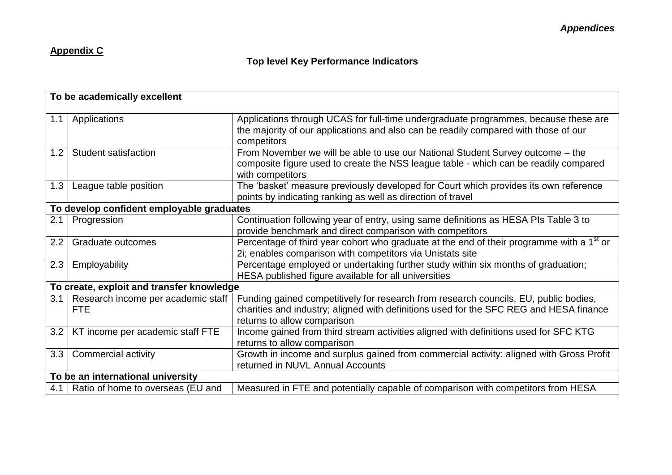# **Appendix C**

# **Top level Key Performance Indicators**

|     | To be academically excellent                     |                                                                                                                                                                                                               |
|-----|--------------------------------------------------|---------------------------------------------------------------------------------------------------------------------------------------------------------------------------------------------------------------|
| 1.1 | Applications                                     | Applications through UCAS for full-time undergraduate programmes, because these are<br>the majority of our applications and also can be readily compared with those of our<br>competitors                     |
| 1.2 | Student satisfaction                             | From November we will be able to use our National Student Survey outcome – the<br>composite figure used to create the NSS league table - which can be readily compared<br>with competitors                    |
| 1.3 | League table position                            | The 'basket' measure previously developed for Court which provides its own reference<br>points by indicating ranking as well as direction of travel                                                           |
|     | To develop confident employable graduates        |                                                                                                                                                                                                               |
| 2.1 | Progression                                      | Continuation following year of entry, using same definitions as HESA PIs Table 3 to<br>provide benchmark and direct comparison with competitors                                                               |
| 2.2 | Graduate outcomes                                | Percentage of third year cohort who graduate at the end of their programme with a 1 <sup>st</sup> or<br>2i; enables comparison with competitors via Unistats site                                             |
| 2.3 | Employability                                    | Percentage employed or undertaking further study within six months of graduation;<br>HESA published figure available for all universities                                                                     |
|     | To create, exploit and transfer knowledge        |                                                                                                                                                                                                               |
| 3.1 | Research income per academic staff<br><b>FTE</b> | Funding gained competitively for research from research councils, EU, public bodies,<br>charities and industry; aligned with definitions used for the SFC REG and HESA finance<br>returns to allow comparison |
| 3.2 | KT income per academic staff FTE                 | Income gained from third stream activities aligned with definitions used for SFC KTG<br>returns to allow comparison                                                                                           |
| 3.3 | <b>Commercial activity</b>                       | Growth in income and surplus gained from commercial activity: aligned with Gross Profit<br>returned in NUVL Annual Accounts                                                                                   |
|     | To be an international university                |                                                                                                                                                                                                               |
|     | 4.1   Ratio of home to overseas (EU and          | Measured in FTE and potentially capable of comparison with competitors from HESA                                                                                                                              |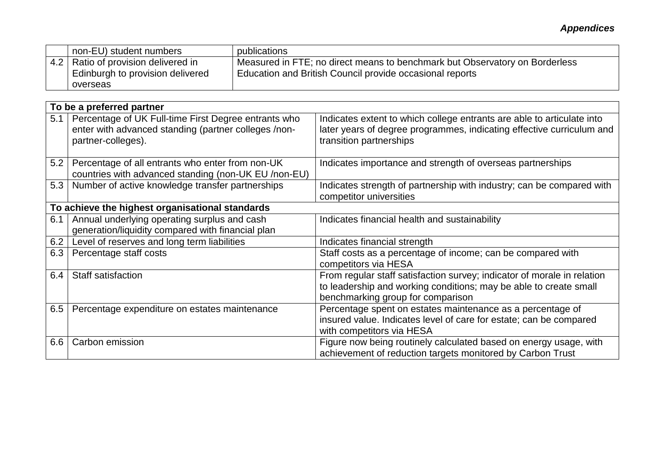*Appendices*

| non-EU) student numbers               | publications                                                                |
|---------------------------------------|-----------------------------------------------------------------------------|
| 4.2   Ratio of provision delivered in | Measured in FTE; no direct means to benchmark but Observatory on Borderless |
| Edinburgh to provision delivered      | Education and British Council provide occasional reports                    |
| overseas                              |                                                                             |

|     | To be a preferred partner                                                                                                          |                                                                                                                                                                                   |
|-----|------------------------------------------------------------------------------------------------------------------------------------|-----------------------------------------------------------------------------------------------------------------------------------------------------------------------------------|
| 5.1 | Percentage of UK Full-time First Degree entrants who<br>enter with advanced standing (partner colleges /non-<br>partner-colleges). | Indicates extent to which college entrants are able to articulate into<br>later years of degree programmes, indicating effective curriculum and<br>transition partnerships        |
| 5.2 | Percentage of all entrants who enter from non-UK<br>countries with advanced standing (non-UK EU /non-EU)                           | Indicates importance and strength of overseas partnerships                                                                                                                        |
| 5.3 | Number of active knowledge transfer partnerships                                                                                   | Indicates strength of partnership with industry; can be compared with<br>competitor universities                                                                                  |
|     | To achieve the highest organisational standards                                                                                    |                                                                                                                                                                                   |
| 6.1 | Annual underlying operating surplus and cash<br>generation/liquidity compared with financial plan                                  | Indicates financial health and sustainability                                                                                                                                     |
| 6.2 | Level of reserves and long term liabilities                                                                                        | Indicates financial strength                                                                                                                                                      |
| 6.3 | Percentage staff costs                                                                                                             | Staff costs as a percentage of income; can be compared with<br>competitors via HESA                                                                                               |
| 6.4 | <b>Staff satisfaction</b>                                                                                                          | From regular staff satisfaction survey; indicator of morale in relation<br>to leadership and working conditions; may be able to create small<br>benchmarking group for comparison |
| 6.5 | Percentage expenditure on estates maintenance                                                                                      | Percentage spent on estates maintenance as a percentage of<br>insured value. Indicates level of care for estate; can be compared<br>with competitors via HESA                     |
| 6.6 | Carbon emission                                                                                                                    | Figure now being routinely calculated based on energy usage, with<br>achievement of reduction targets monitored by Carbon Trust                                                   |